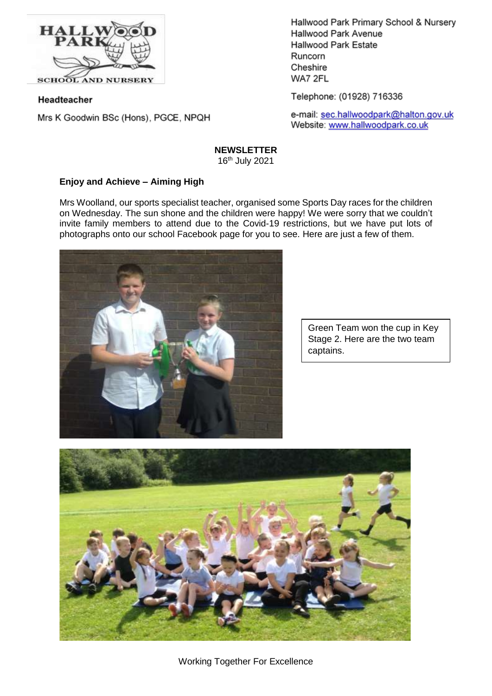

**SCHOOL AND NURSERY** 

Headteacher

Mrs K Goodwin BSc (Hons), PGCE, NPQH

Hallwood Park Primary School & Nursery Hallwood Park Avenue **Hallwood Park Estate** Runcorn Cheshire WA7 2FL

Telephone: (01928) 716336

e-mail: sec.hallwoodpark@halton.gov.uk Website: www.hallwoodpark.co.uk

**NEWSLETTER**

16th July 2021

# **Enjoy and Achieve – Aiming High**

Mrs Woolland, our sports specialist teacher, organised some Sports Day races for the children on Wednesday. The sun shone and the children were happy! We were sorry that we couldn't invite family members to attend due to the Covid-19 restrictions, but we have put lots of photographs onto our school Facebook page for you to see. Here are just a few of them.



Green Team won the cup in Key Stage 2. Here are the two team captains.



Working Together For Excellence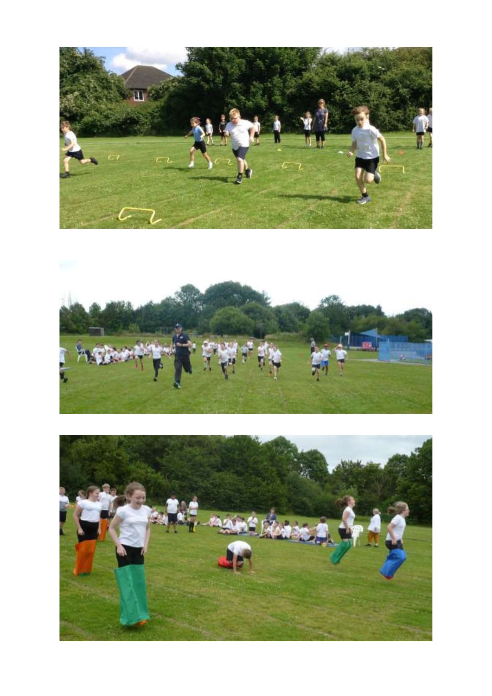